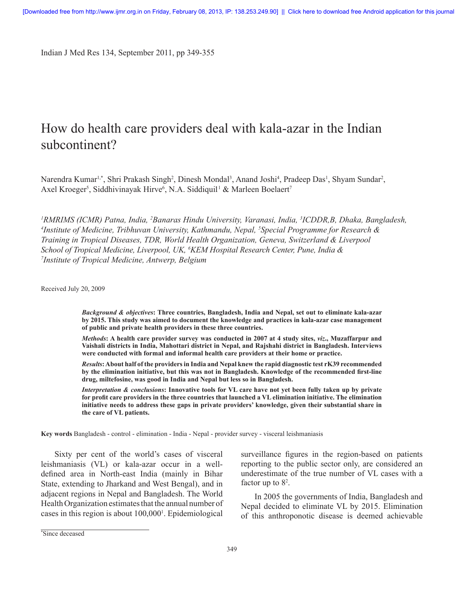Indian J Med Res 134, September 2011, pp 349-355

# How do health care providers deal with kala-azar in the Indian subcontinent?

Narendra Kumar<sup>1,\*</sup>, Shri Prakash Singh<sup>2</sup>, Dinesh Mondal<sup>3</sup>, Anand Joshi<sup>4</sup>, Pradeep Das<sup>1</sup>, Shyam Sundar<sup>2</sup>, Axel Kroeger<sup>5</sup>, Siddhivinayak Hirve<sup>6</sup>, N.A. Siddiquil<sup>1</sup> & Marleen Boelaert<sup>7</sup>

<sup>1</sup> RMRIMS (ICMR) Patna, India, <sup>2</sup> Banaras Hindu University, Varanasi, India, <sup>3</sup>ICDDR,B, Dhaka, Bangladesh, *4*<br><sup>4</sup> Institute of Medicine, Tribhuyan University, Kathmandu, Nepal, <sup>5</sup> Special Programme for Research & *Institute of Medicine, Tribhuvan University, Kathmandu, Nepal, 5 Special Programme for Research & Training in Tropical Diseases, TDR, World Health Organization, Geneva, Switzerland & Liverpool*  School of Tropical Medicine, Liverpool, UK, <sup>6</sup>KEM Hospital Research Center, Pune, India &<br><sup>7</sup>Institute of Tropical Medicine, Antwerp, Relaium *Institute of Tropical Medicine, Antwerp, Belgium*

Received July 20, 2009

*Background & objectives***: Three countries, Bangladesh, India and Nepal, set out to eliminate kala-azar by 2015. This study was aimed to document the knowledge and practices in kala-azar case management of public and private health providers in these three countries.**

*Methods***: A health care provider survey was conducted in 2007 at 4 study sites,** *viz***., Muzaffarpur and Vaishali districts in India, Mahottari district in Nepal, and Rajshahi district in Bangladesh. Interviews were conducted with formal and informal health care providers at their home or practice.** 

*Results***: About half of the providers in India and Nepal knew the rapid diagnostic test rK39 recommended by the elimination initiative, but this was not in Bangladesh. Knowledge of the recommended first-line drug, miltefosine, was good in India and Nepal but less so in Bangladesh.**

*Interpretation & conclusions***: Innovative tools for VL care have not yet been fully taken up by private for profit care providers in the three countries that launched a VL elimination initiative. The elimination initiative needs to address these gaps in private providers' knowledge, given their substantial share in the care of VL patients.**

**Key words** Bangladesh - control - elimination - India - Nepal - provider survey - visceral leishmaniasis

Sixty per cent of the world's cases of visceral leishmaniasis (VL) or kala-azar occur in a welldefined area in North-east India (mainly in Bihar State, extending to Jharkand and West Bengal), and in adjacent regions in Nepal and Bangladesh. The World Health Organization estimates that the annual number of cases in this region is about 100,0001 . Epidemiological surveillance figures in the region-based on patients reporting to the public sector only, are considered an underestimate of the true number of VL cases with a factor up to  $8^2$ .

In 2005 the governments of India, Bangladesh and Nepal decided to eliminate VL by 2015. Elimination of this anthroponotic disease is deemed achievable

<sup>\*</sup> Since deceased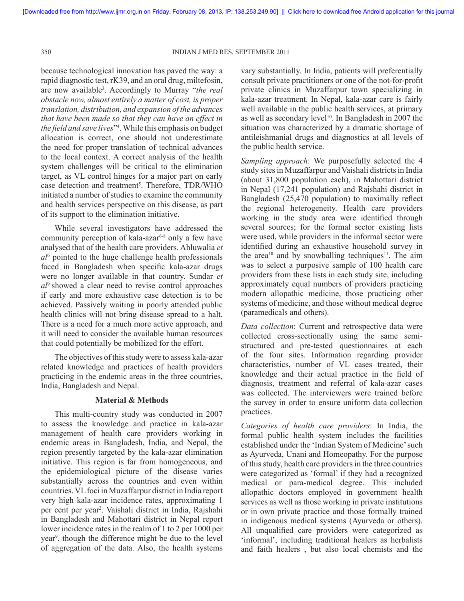because technological innovation has paved the way: a rapid diagnostic test, rK39, and an oral drug, miltefosin, are now available3 . Accordingly to Murray "*the real obstacle now, almost entirely a matter of cost, is proper translation, distribution, and expansion of the advances that have been made so that they can have an effect in the field and save lives*"4 . While this emphasis on budget allocation is correct, one should not underestimate the need for proper translation of technical advances to the local context. A correct analysis of the health system challenges will be critical to the elimination target, as VL control hinges for a major part on early case detection and treatment<sup>5</sup>. Therefore, TDR/WHO initiated a number of studies to examine the community and health services perspective on this disease, as part of its support to the elimination initiative.

While several investigators have addressed the community perception of kala-azar<sup> $6-8$ </sup> only a few have analysed that of the health care providers. Ahluwalia *et al*<sup>6</sup> pointed to the huge challenge health professionals faced in Bangladesh when specific kala-azar drugs were no longer available in that country. Sundar *et al*9 showed a clear need to revise control approaches if early and more exhaustive case detection is to be achieved. Passively waiting in poorly attended public health clinics will not bring disease spread to a halt. There is a need for a much more active approach, and it will need to consider the available human resources that could potentially be mobilized for the effort.

The objectives of this study were to assess kala-azar related knowledge and practices of health providers practicing in the endemic areas in the three countries, India, Bangladesh and Nepal.

## **Material & Methods**

This multi-country study was conducted in 2007 to assess the knowledge and practice in kala-azar management of health care providers working in endemic areas in Bangladesh, India, and Nepal, the region presently targeted by the kala-azar elimination initiative. This region is far from homogeneous, and the epidemiological picture of the disease varies substantially across the countries and even within countries. VL foci in Muzaffarpur district in India report very high kala-azar incidence rates, approximating 1 per cent per year<sup>2</sup>. Vaishali district in India, Rajshahi in Bangladesh and Mahottari district in Nepal report lower incidence rates in the realm of 1 to 2 per 1000 per year<sup>9</sup>, though the difference might be due to the level of aggregation of the data. Also, the health systems

vary substantially. In India, patients will preferentially consult private practitioners or one of the not-for-profit private clinics in Muzaffarpur town specializing in kala-azar treatment. In Nepal, kala-azar care is fairly well available in the public health services, at primary as well as secondary level<sup>10</sup>. In Bangladesh in 2007 the situation was characterized by a dramatic shortage of antileishmanial drugs and diagnostics at all levels of the public health service.

*Sampling approach*: We purposefully selected the 4 study sites in Muzaffarpur and Vaishali districts in India (about 31,800 population each), in Mahottari district in Nepal (17,241 population) and Rajshahi district in Bangladesh (25,470 population) to maximally reflect the regional heterogeneity. Health care providers working in the study area were identified through several sources; for the formal sector existing lists were used, while providers in the informal sector were identified during an exhaustive household survey in the area<sup>10</sup> and by snowballing techniques<sup>11</sup>. The aim was to select a purposive sample of 100 health care providers from these lists in each study site, including approximately equal numbers of providers practicing modern allopathic medicine, those practicing other systems of medicine, and those without medical degree (paramedicals and others).

*Data collection*: Current and retrospective data were collected cross-sectionally using the same semistructured and pre-tested questionnaires at each of the four sites. Information regarding provider characteristics, number of VL cases treated, their knowledge and their actual practice in the field of diagnosis, treatment and referral of kala-azar cases was collected. The interviewers were trained before the survey in order to ensure uniform data collection practices.

*Categories of health care providers*: In India, the formal public health system includes the facilities established under the 'Indian System of Medicine' such as Ayurveda, Unani and Homeopathy. For the purpose of this study, health care providers in the three countries were categorized as 'formal' if they had a recognized medical or para-medical degree. This included allopathic doctors employed in government health services as well as those working in private institutions or in own private practice and those formally trained in indigenous medical systems (Ayurveda or others). All unqualified care providers were categorized as 'informal', including traditional healers as herbalists and faith healers , but also local chemists and the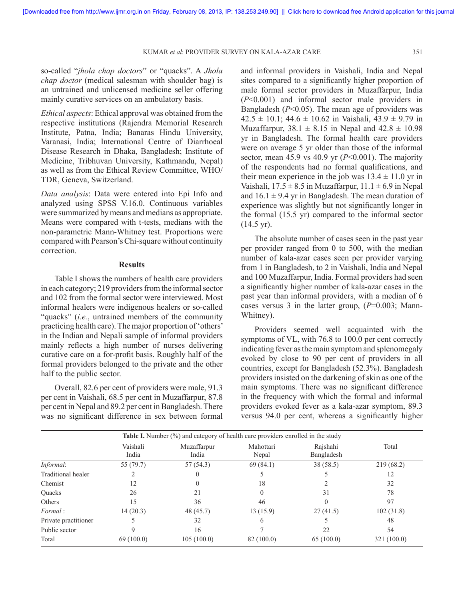#### KUMAR *et al*: PROVIDER SURVEY ON KALA-AZAR CARE 351

so-called "*jhola chap doctors*" or "quacks". A *Jhola chap doctor* (medical salesman with shoulder bag) is an untrained and unlicensed medicine seller offering mainly curative services on an ambulatory basis.

*Ethical aspects*: Ethical approval was obtained from the respective institutions (Rajendra Memorial Research Institute, Patna, India; Banaras Hindu University, Varanasi, India; International Centre of Diarrhoeal Disease Research in Dhaka, Bangladesh; Institute of Medicine, Tribhuvan University, Kathmandu, Nepal) as well as from the Ethical Review Committee, WHO/ TDR, Geneva, Switzerland.

*Data analysis*: Data were entered into Epi Info and analyzed using SPSS V.16.0. Continuous variables were summarized by means and medians as appropriate. Means were compared with t-tests, medians with the non-parametric Mann-Whitney test. Proportions were compared with Pearson's Chi-square without continuity correction.

### **Results**

Table I shows the numbers of health care providers in each category; 219 providers from the informal sector and 102 from the formal sector were interviewed. Most informal healers were indigenous healers or so-called "quacks" (*i.e.*, untrained members of the community practicing health care). The major proportion of 'others' in the Indian and Nepali sample of informal providers mainly reflects a high number of nurses delivering curative care on a for-profit basis. Roughly half of the formal providers belonged to the private and the other half to the public sector.

Overall, 82.6 per cent of providers were male, 91.3 per cent in Vaishali, 68.5 per cent in Muzaffarpur, 87.8 per cent in Nepal and 89.2 per cent in Bangladesh. There was no significant difference in sex between formal and informal providers in Vaishali, India and Nepal sites compared to a significantly higher proportion of male formal sector providers in Muzaffarpur, India (*P*<0.001) and informal sector male providers in Bangladesh (*P*<0.05). The mean age of providers was  $42.5 \pm 10.1$ ;  $44.6 \pm 10.62$  in Vaishali,  $43.9 \pm 9.79$  in Muzaffarpur,  $38.1 \pm 8.15$  in Nepal and  $42.8 \pm 10.98$ yr in Bangladesh. The formal health care providers were on average 5 yr older than those of the informal sector, mean 45.9 vs 40.9 yr  $(P<0.001)$ . The majority of the respondents had no formal qualifications, and their mean experience in the job was  $13.4 \pm 11.0$  yr in Vaishali,  $17.5 \pm 8.5$  in Muzaffarpur,  $11.1 \pm 6.9$  in Nepal and  $16.1 \pm 9.4$  yr in Bangladesh. The mean duration of experience was slightly but not significantly longer in the formal (15.5 yr) compared to the informal sector  $(14.5 \text{ yr})$ .

The absolute number of cases seen in the past year per provider ranged from 0 to 500, with the median number of kala-azar cases seen per provider varying from 1 in Bangladesh, to 2 in Vaishali, India and Nepal and 100 Muzaffarpur, India. Formal providers had seen a significantly higher number of kala-azar cases in the past year than informal providers, with a median of 6 cases versus 3 in the latter group, (*P*=0.003; Mann-Whitney).

Providers seemed well acquainted with the symptoms of VL, with 76.8 to 100.0 per cent correctly indicating fever as the main symptom and splenomegaly evoked by close to 90 per cent of providers in all countries, except for Bangladesh (52.3%). Bangladesh providers insisted on the darkening of skin as one of the main symptoms. There was no significant difference in the frequency with which the formal and informal providers evoked fever as a kala-azar symptom, 89.3 versus 94.0 per cent, whereas a significantly higher

|                      |                   | <b>Table I.</b> Number $(\%)$ and category of health care providers enrolled in the study |                    |                        |             |
|----------------------|-------------------|-------------------------------------------------------------------------------------------|--------------------|------------------------|-------------|
|                      | Vaishali<br>India | Muzaffarpur<br>India                                                                      | Mahottari<br>Nepal | Rajshahi<br>Bangladesh | Total       |
| Informal:            | 55 (79.7)         | 57 (54.3)                                                                                 | 69(84.1)           | 38 (58.5)              | 219(68.2)   |
| Traditional healer   |                   |                                                                                           |                    |                        | 12          |
| Chemist              | 12                |                                                                                           | 18                 |                        | 32          |
| Quacks               | 26                | 21                                                                                        |                    | 31                     | 78          |
| Others               | 15                | 36                                                                                        | 46                 |                        | 97          |
| Formal:              | 14(20.3)          | 48 (45.7)                                                                                 | 13 (15.9)          | 27(41.5)               | 102(31.8)   |
| Private practitioner |                   | 32                                                                                        | 6                  |                        | 48          |
| Public sector        |                   | 16                                                                                        |                    | 22                     | 54          |
| Total                | 69(100.0)         | 105(100.0)                                                                                | 82 (100.0)         | 65(100.0)              | 321 (100.0) |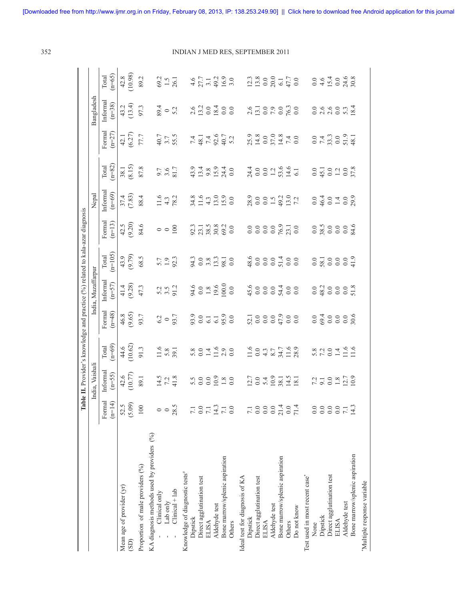|                                            | $\mathbf{a}$            | <b>ble II.</b> Provider's knowledge and practice $(^{96}$ related to kala-azar diagnosis |                                                                                        |                                       |                                                     |                         |                                             |                                                   |                                             |                                                                        |                                             |                                                                            |
|--------------------------------------------|-------------------------|------------------------------------------------------------------------------------------|----------------------------------------------------------------------------------------|---------------------------------------|-----------------------------------------------------|-------------------------|---------------------------------------------|---------------------------------------------------|---------------------------------------------|------------------------------------------------------------------------|---------------------------------------------|----------------------------------------------------------------------------|
|                                            |                         | India, Vaishal                                                                           |                                                                                        |                                       | India, Muzaffarpur                                  |                         |                                             | Nepal                                             |                                             |                                                                        | <b>Bangladesh</b>                           |                                                                            |
|                                            | Formal<br>$(n=14)$      | Informal<br>$(n=55)$                                                                     | Total<br>$(n=69)$                                                                      | Formal<br>$(n=48)$                    | Informal<br>$(n=57)$                                | $(n=105)$<br>Total      | Formal<br>$(n=13)$                          | Informa<br>$(n=69)$                               | Total<br>$(n=82)$                           | Formal<br>$(n=27)$                                                     | Informa<br>$(n=38)$                         | $(n=65)$<br>Total                                                          |
| Mean age of provider (yr)<br>(SD)          | (5.09)<br>52.5          | $42.6$<br>(10.77)                                                                        | $\begin{array}{c} 44.6 \\ (10.62) \\ 91.3 \end{array}$                                 | $46.8$<br>$(9.65)$<br>$93.7$          | $41.4$<br>$(9.28)$<br>$47.3$                        | (9.79)                  | $42.5$<br>(9.20)                            | (7.83)                                            | $38.1$<br>$(8.15)$                          | $42.1$<br>$(6.27)$<br>$77.7$                                           | $(13.4)$<br>$(13.4)$<br>$97.3$              | $\frac{42.8}{10.98}$                                                       |
| Proportion of male providers (%)           | 100                     | 89.1                                                                                     |                                                                                        |                                       |                                                     | 68.5                    | 84.6                                        | 88.4                                              | 87.8                                        |                                                                        |                                             | 89.2                                                                       |
| KA diagnosis methods used by providers (%) |                         |                                                                                          |                                                                                        |                                       |                                                     |                         |                                             |                                                   |                                             |                                                                        |                                             |                                                                            |
| Clinical only                              |                         |                                                                                          |                                                                                        |                                       |                                                     |                         |                                             |                                                   |                                             |                                                                        |                                             |                                                                            |
| Lab only                                   | $\circ$                 | $14.5$<br>7.2<br>41.8                                                                    | $\frac{11.6}{5.8}$                                                                     | $62$ o $93.7$                         | $\frac{5}{3}$ $\frac{5}{3}$ $\frac{2}{3}$           | $\frac{5.7}{1.9}$       | $\circ$ $\circ$ $\frac{8}{5}$               | $\frac{11.6}{4.3}$                                | 9.7<br>3.6<br>81.7                          | 4 0.7<br>55.5                                                          | $\frac{6}{9}$ - 5.2                         | $\frac{69.2}{1.5}$                                                         |
| $Clinical + lab$                           | 28.5                    |                                                                                          |                                                                                        |                                       |                                                     |                         |                                             |                                                   |                                             |                                                                        |                                             |                                                                            |
| Knowledge of diagnostic tests#             |                         |                                                                                          |                                                                                        |                                       |                                                     |                         |                                             |                                                   |                                             |                                                                        |                                             |                                                                            |
| Dipstick                                   | 7.1                     |                                                                                          |                                                                                        |                                       |                                                     |                         |                                             |                                                   |                                             |                                                                        |                                             |                                                                            |
| Direct agglutination test                  | 0.0                     |                                                                                          |                                                                                        |                                       |                                                     |                         |                                             |                                                   |                                             |                                                                        |                                             |                                                                            |
| ELISA                                      |                         |                                                                                          |                                                                                        |                                       |                                                     |                         |                                             |                                                   |                                             |                                                                        |                                             |                                                                            |
| Aldehyde test                              | $7.1$<br>$7.1$<br>$7.1$ |                                                                                          |                                                                                        |                                       |                                                     |                         |                                             |                                                   |                                             |                                                                        |                                             |                                                                            |
| Bone marrow/splenic aspiration             |                         |                                                                                          | $0.04600$<br>$0.04600$                                                                 | $93.0$<br>$0.0$ $-1$ $-9.0$<br>$-9.0$ |                                                     | $3.083330$<br>$3.08330$ |                                             | $34.6$<br>$34.3$<br>$4.3$<br>$50$<br>$50$<br>$50$ | $9.48940$<br>$9.48940$                      | $743.7$<br>$48.7$<br>$49.7$<br>$49.7$                                  | $2.6$<br>$13.2$<br>$0.84$<br>$0.0$<br>$0.0$ | $4.5$<br>$7.7$<br>$3.1$<br>$4.9$<br>$9.9$<br>$3.0$                         |
| Others                                     | $0.0\,$                 |                                                                                          |                                                                                        |                                       | $94.6$<br>$0.0$<br>$1.8$<br>$0.0$<br>$0.0$<br>$0.0$ |                         | $92.3$<br>$73.5$<br>$8.8$<br>$8.2$<br>$0.0$ |                                                   |                                             |                                                                        |                                             |                                                                            |
| Ideal test for diagnosis of KA             |                         |                                                                                          |                                                                                        |                                       |                                                     |                         |                                             |                                                   |                                             |                                                                        |                                             |                                                                            |
| Dipstick                                   | 7.1                     |                                                                                          |                                                                                        |                                       |                                                     |                         |                                             |                                                   |                                             |                                                                        |                                             |                                                                            |
| Direct agglutination test                  | 0.0                     | $12.7$<br>$0.0$ $5.4$<br>$0.0$<br>$0.3$<br>$0.4$<br>$0.5$<br>$18.1$<br>$18.1$            | $1.6$<br>$0.9$<br>$0.7$<br>$0.7$<br>$0.7$<br>$0.9$<br>$0.7$<br>$0.9$<br>$0.9$<br>$0.9$ |                                       |                                                     |                         |                                             | 280001222                                         |                                             |                                                                        |                                             | $\begin{array}{c} 12.3 \\ 13.8 \\ 0.0 \\ 0.0 \\ 0.1 \\ \hline \end{array}$ |
| <b>ELISA</b>                               | 0.0                     |                                                                                          |                                                                                        |                                       |                                                     |                         |                                             |                                                   |                                             |                                                                        |                                             |                                                                            |
| Aldehyde test                              | $_{0.0}$                |                                                                                          |                                                                                        |                                       |                                                     |                         |                                             |                                                   |                                             |                                                                        |                                             |                                                                            |
| Bone marrow/splenic aspiration             | $^{21.4}_{0.0}$         |                                                                                          |                                                                                        |                                       |                                                     |                         |                                             |                                                   |                                             |                                                                        |                                             |                                                                            |
| Others                                     |                         |                                                                                          |                                                                                        |                                       |                                                     |                         |                                             |                                                   |                                             |                                                                        |                                             |                                                                            |
| Do not know                                | 71.4                    |                                                                                          |                                                                                        |                                       |                                                     |                         |                                             |                                                   | 7400210001000100                            | $25.9$<br>$14.8$<br>$0.0$<br>$7.4$<br>$7.4$<br>$0.0$<br>$7.4$<br>$0.0$ | $2.6$<br>13.19.2010<br>12.19.20             |                                                                            |
| Test used in most recent case*             |                         |                                                                                          |                                                                                        |                                       |                                                     |                         |                                             |                                                   |                                             |                                                                        |                                             |                                                                            |
| None                                       | 0.0                     |                                                                                          |                                                                                        |                                       |                                                     |                         |                                             |                                                   |                                             |                                                                        |                                             |                                                                            |
| Dipstick                                   | 0.0                     |                                                                                          |                                                                                        |                                       |                                                     |                         |                                             |                                                   |                                             |                                                                        |                                             |                                                                            |
| Direct agglutination test                  | 0.0                     |                                                                                          |                                                                                        |                                       |                                                     |                         |                                             |                                                   |                                             |                                                                        |                                             |                                                                            |
| <b>ELISA</b>                               | 0.0                     |                                                                                          |                                                                                        |                                       |                                                     |                         |                                             |                                                   |                                             |                                                                        |                                             |                                                                            |
| Aldehyde test                              | $7.1\,$                 | $7.308$<br>$-2.508$<br>$-1.509$                                                          | $5.8$ $7.0$ $1.6$ $1.6$ $1.1$                                                          |                                       | 0.320008                                            |                         | 0.580000846                                 | 0.401080                                          | $0.0$<br>$45.1$<br>$0.2$<br>$0.8$<br>$37.8$ | $0.47300$<br>$0.73000$<br>$0.34$                                       | $0.99007$<br>$0.9907$<br>$0.34$             | $0.44088$<br>$0.45088$                                                     |
| Bone marrow/splenic aspiration             | 14.3                    |                                                                                          |                                                                                        |                                       |                                                     |                         |                                             |                                                   |                                             |                                                                        |                                             |                                                                            |
| "Multiple response variable                |                         |                                                                                          |                                                                                        |                                       |                                                     |                         |                                             |                                                   |                                             |                                                                        |                                             |                                                                            |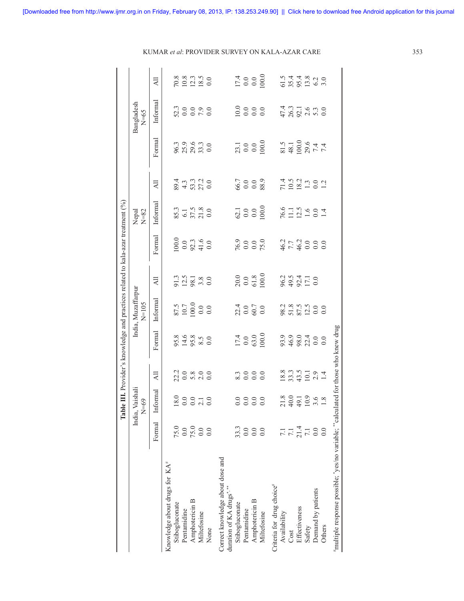|                                                                                    |                                           | Table III. Provider's knowledge and practices related to kala-azar treatment $(%)$ |                                                                              |                                                             |                                                                                 |                                      |                                                                        |                                   |                                              |                                     |                                                              |                                     |
|------------------------------------------------------------------------------------|-------------------------------------------|------------------------------------------------------------------------------------|------------------------------------------------------------------------------|-------------------------------------------------------------|---------------------------------------------------------------------------------|--------------------------------------|------------------------------------------------------------------------|-----------------------------------|----------------------------------------------|-------------------------------------|--------------------------------------------------------------|-------------------------------------|
|                                                                                    |                                           | India, Vaishali<br>$N=69$                                                          |                                                                              |                                                             | India, Muzaffarpur<br>$N=105$                                                   |                                      |                                                                        | Nepal<br>$N=82$                   |                                              |                                     | Bangladesh<br>$N=65$                                         |                                     |
|                                                                                    | Formal                                    | Informal                                                                           | $\overline{A}$                                                               | Formal                                                      | Informal                                                                        | $\overline{a}$                       | Formal                                                                 | Informal                          | $\overline{A}$                               | Formal                              | Informal                                                     | $\overline{AB}$                     |
| Knowledge about drugs for KA <sup>#</sup>                                          |                                           |                                                                                    |                                                                              |                                                             |                                                                                 |                                      |                                                                        |                                   |                                              |                                     |                                                              |                                     |
| Stibogluconate                                                                     | 75.0                                      |                                                                                    |                                                                              |                                                             |                                                                                 |                                      |                                                                        |                                   |                                              |                                     |                                                              |                                     |
| Pentamidine                                                                        |                                           |                                                                                    |                                                                              |                                                             |                                                                                 |                                      |                                                                        |                                   |                                              |                                     |                                                              |                                     |
| Amphotericin B                                                                     | $0.0$<br>75.0<br>0.0                      | $\begin{array}{c} 0.0 \\ 0.0 \\ 0.0 \\ 0.0 \end{array}$                            | 20800<br>20800                                                               | 9348850<br>945880                                           | $\begin{array}{c} 87.5 \\ 10.7 \\ 100.0 \\ 0.0 \\ 0.0 \\ \end{array}$           | 91.3<br>2.5<br>9.8<br>3.8<br>0.0     | $\begin{array}{c} 0.0000 \\ 0.0000 \\ 0.0000 \\ 0.0000 \\ \end{array}$ | 85.3<br>6.1<br>57.5<br>21.8       | $24.3$<br>$3.3$<br>$3.3$<br>$2.0$<br>$0.0$   | 9639630<br>962930                   | 330000<br>30000                                              | $70.8$<br>$10.3$<br>$18.5$<br>$0.0$ |
| Miltefosine                                                                        |                                           |                                                                                    |                                                                              |                                                             |                                                                                 |                                      |                                                                        |                                   |                                              |                                     |                                                              |                                     |
| None                                                                               | 0.0                                       |                                                                                    |                                                                              |                                                             |                                                                                 |                                      |                                                                        |                                   |                                              |                                     |                                                              |                                     |
| Correct knowledge about dose and<br>duration of KA drugs*.**                       |                                           |                                                                                    |                                                                              |                                                             |                                                                                 |                                      |                                                                        |                                   |                                              |                                     |                                                              |                                     |
| Stibogluconate                                                                     |                                           |                                                                                    |                                                                              |                                                             |                                                                                 |                                      |                                                                        |                                   |                                              |                                     |                                                              |                                     |
| Pentamidine                                                                        | 33.3                                      |                                                                                    |                                                                              |                                                             |                                                                                 |                                      |                                                                        |                                   |                                              |                                     |                                                              |                                     |
| Amphotericin B                                                                     | $\begin{array}{c} 0.0 \\ 0.0 \end{array}$ | 8888<br>8888                                                                       | 200000                                                                       | $\begin{array}{c} 17.4 \\ 0.0 \\ 63.0 \\ 100.0 \end{array}$ |                                                                                 | $20.0$<br>$0.0$<br>$61.8$<br>$100.0$ | $76.9$<br>0.0<br>0.0<br>75.0                                           | $62.1$<br>$0.0$<br>$0.0$<br>$0.0$ | 6.7<br>0.0<br>0.0<br>88.9                    |                                     |                                                              | $\frac{17.4}{0.0}$                  |
| Miltefosine                                                                        |                                           |                                                                                    |                                                                              |                                                             |                                                                                 |                                      |                                                                        |                                   |                                              | $23.1$<br>$0.0$<br>$0.0$<br>$100.0$ |                                                              |                                     |
| Criteria for drug choice <sup>#</sup>                                              |                                           |                                                                                    |                                                                              |                                                             |                                                                                 |                                      |                                                                        |                                   |                                              |                                     |                                                              |                                     |
| Availability                                                                       |                                           |                                                                                    |                                                                              |                                                             |                                                                                 |                                      |                                                                        |                                   |                                              |                                     |                                                              |                                     |
| Cost                                                                               |                                           |                                                                                    |                                                                              |                                                             |                                                                                 |                                      |                                                                        |                                   |                                              |                                     |                                                              |                                     |
| Effectiveness                                                                      | $7.1$<br>$7.1$ 4<br>$7.1$<br>$7.0$<br>0.0 | $718$<br>$4919$<br>$199$<br>$18$<br>$18$                                           | $\begin{array}{c} 8.3 \\ 2.3 \\ 3.4 \\ 4.1 \\ 0.1 \\ 2.9 \\ 1.4 \end{array}$ | 999100<br>988100                                            | $\begin{array}{c} 2.3 \\ 8.7 \\ 8.7 \\ 8.7 \\ 2.9 \\ 0.0 \\ 0.0 \\ \end{array}$ | $893100$<br>$892100$                 | $46.7$<br>$7.7$<br>$46.0$<br>$0.0$<br>$0.0$                            | $76.6$<br>11.16<br>10.014         | $71.582$<br>$19.293$<br>$-19.29$<br>$-19.29$ | 81.5<br>48.1<br>00.0<br>7.4<br>7.4  | $47.3$<br>$7.4$<br>$7.5$<br>$7.6$<br>$7.3$<br>$0.0$<br>$0.0$ | 5 3 4 4 8 9 9 9<br>5 3 5 5 9 9 9    |
| Safety                                                                             |                                           |                                                                                    |                                                                              |                                                             |                                                                                 |                                      |                                                                        |                                   |                                              |                                     |                                                              |                                     |
| Demand by patients                                                                 |                                           |                                                                                    |                                                                              |                                                             |                                                                                 |                                      |                                                                        |                                   |                                              |                                     |                                                              |                                     |
| Others                                                                             |                                           |                                                                                    |                                                                              |                                                             |                                                                                 |                                      |                                                                        |                                   |                                              |                                     |                                                              |                                     |
| "multiple response possible; "yes/no variable; "calculated for those who knew drug |                                           |                                                                                    |                                                                              |                                                             |                                                                                 |                                      |                                                                        |                                   |                                              |                                     |                                                              |                                     |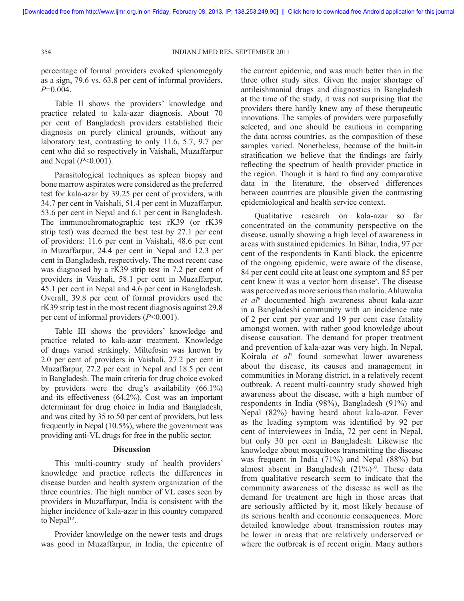percentage of formal providers evoked splenomegaly as a sign, 79.6 vs. 63.8 per cent of informal providers, *P*=0.004.

Table II shows the providers' knowledge and practice related to kala-azar diagnosis. About 70 per cent of Bangladesh providers established their diagnosis on purely clinical grounds, without any laboratory test, contrasting to only 11.6, 5.7, 9.7 per cent who did so respectively in Vaishali, Muzaffarpur and Nepal (*P*<0.001).

Parasitological techniques as spleen biopsy and bone marrow aspirates were considered as the preferred test for kala-azar by 39.25 per cent of providers, with 34.7 per cent in Vaishali, 51.4 per cent in Muzaffarpur, 53.6 per cent in Nepal and 6.1 per cent in Bangladesh. The immunochromatographic test rK39 (or rK39 strip test) was deemed the best test by 27.1 per cent of providers: 11.6 per cent in Vaishali, 48.6 per cent in Muzaffarpur, 24.4 per cent in Nepal and 12.3 per cent in Bangladesh, respectively. The most recent case was diagnosed by a rK39 strip test in 7.2 per cent of providers in Vaishali, 58.1 per cent in Muzaffarpur, 45.1 per cent in Nepal and 4.6 per cent in Bangladesh. Overall, 39.8 per cent of formal providers used the rK39 strip test in the most recent diagnosis against 29.8 per cent of informal providers (*P*<0.001).

Table III shows the providers' knowledge and practice related to kala-azar treatment. Knowledge of drugs varied strikingly. Miltefosin was known by 2.0 per cent of providers in Vaishali, 27.2 per cent in Muzaffarpur, 27.2 per cent in Nepal and 18.5 per cent in Bangladesh. The main criteria for drug choice evoked by providers were the drug's availability (66.1%) and its effectiveness (64.2%). Cost was an important determinant for drug choice in India and Bangladesh, and was cited by 35 to 50 per cent of providers, but less frequently in Nepal (10.5%), where the government was providing anti-VL drugs for free in the public sector.

#### **Discussion**

This multi-country study of health providers' knowledge and practice reflects the differences in disease burden and health system organization of the three countries. The high number of VL cases seen by providers in Muzaffarpur, India is consistent with the higher incidence of kala-azar in this country compared to Nepal<sup>12</sup>.

Provider knowledge on the newer tests and drugs was good in Muzaffarpur, in India, the epicentre of the current epidemic, and was much better than in the three other study sites. Given the major shortage of antileishmanial drugs and diagnostics in Bangladesh at the time of the study, it was not surprising that the providers there hardly knew any of these therapeutic innovations. The samples of providers were purposefully selected, and one should be cautious in comparing the data across countries, as the composition of these samples varied. Nonetheless, because of the built-in stratification we believe that the findings are fairly reflecting the spectrum of health provider practice in the region. Though it is hard to find any comparative data in the literature, the observed differences between countries are plausible given the contrasting epidemiological and health service context.

Qualitative research on kala-azar so far concentrated on the community perspective on the disease, usually showing a high level of awareness in areas with sustained epidemics. In Bihar, India, 97 per cent of the respondents in Kanti block, the epicentre of the ongoing epidemic, were aware of the disease, 84 per cent could cite at least one symptom and 85 per cent knew it was a vector born disease<sup>8</sup>. The disease was perceived as more serious than malaria. Ahluwalia *et al*<sup>6</sup> documented high awareness about kala-azar in a Bangladeshi community with an incidence rate of 2 per cent per year and 19 per cent case fatality amongst women, with rather good knowledge about disease causation. The demand for proper treatment and prevention of kala-azar was very high. In Nepal, Koirala *et al*<sup>7</sup> found somewhat lower awareness about the disease, its causes and management in communities in Morang district, in a relatively recent outbreak. A recent multi-country study showed high awareness about the disease, with a high number of respondents in India (98%), Bangladesh (91%) and Nepal (82%) having heard about kala-azar. Fever as the leading symptom was identified by 92 per cent of interviewees in India, 72 per cent in Nepal, but only 30 per cent in Bangladesh. Likewise the knowledge about mosquitoes transmitting the disease was frequent in India (71%) and Nepal (88%) but almost absent in Bangladesh  $(21\%)^{10}$ . These data from qualitative research seem to indicate that the community awareness of the disease as well as the demand for treatment are high in those areas that are seriously afflicted by it, most likely because of its serious health and economic consequences. More detailed knowledge about transmission routes may be lower in areas that are relatively underserved or where the outbreak is of recent origin. Many authors